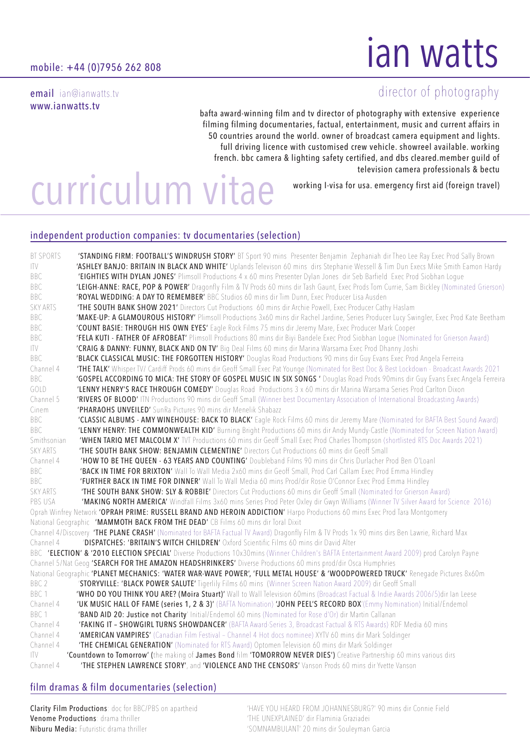email ian@ianwatts.tv www.ianwatts.tv

j

# ian watts

# director of photography

bafta award-winning film and tv director of photography with extensive experience filming filming documentaries, factual, entertainment, music and current affairs in 50 countries around the world. owner of broadcast camera equipment and lights. full driving licence with customised crew vehicle. showreel available. working french. bbc camera & lighting safety certified, and dbs cleared.member guild of television camera professionals & bectu

working I-visa for usa. emergency first aid (foreign travel)

# curriculum vitae

### independent production companies: tv documentaries (selection)

| <b>BT SPORTS</b> | 'STANDING FIRM: FOOTBALL'S WINDRUSH STORY' BT Sport 90 mins Presenter Benjamin Zephaniah dir Theo Lee Ray Exec Prod Sally Brown                |
|------------------|------------------------------------------------------------------------------------------------------------------------------------------------|
| ITV              | 'ASHLEY BANJO: BRITAIN IN BLACK AND WHITE' Uplands Televison 60 mins dirs Stephanie Wessell & Tim Dun Execs Mike Smith Eamon Hardy             |
| BBC              | 'EIGHTIES WITH DYLAN JONES' Plimsoll Productions 4 x 60 mins Presenter Dylan Jones dir Seb Barfield Exec Prod Siobhan Loque                    |
| BBC              | 'LEIGH-ANNE: RACE, POP & POWER' Dragonfly Film & TV Prods 60 mins dir Tash Gaunt, Exec Prods Tom Currie, Sam Bickley (Nominated Grierson)      |
| <b>BBC</b>       | 'ROYAL WEDDING: A DAY TO REMEMBER' BBC Studios 60 mins dir Tim Dunn, Exec Producer Lisa Ausden                                                 |
| <b>SKY ARTS</b>  | 'THE SOUTH BANK SHOW 2021' Directors Cut Productions 60 mins dir Archie Powell, Exec Producer Cathy Haslam                                     |
| BBC              | 'MAKE-UP: A GLAMOUROUS HISTORY' Plimsoll Productions 3x60 mins dir Rachel Jardine, Series Producer Lucy Swingler, Exec Prod Kate Beetham       |
| BBC              | 'COUNT BASIE: THROUGH HIS OWN EYES' Eagle Rock Films 75 mins dir Jeremy Mare, Exec Producer Mark Cooper                                        |
| BBC              | 'FELA KUTI - FATHER OF AFROBEAT' Plimsoll Productions 80 mins dir Biyi Bandele Exec Prod Siobhan Logue (Nominated for Grierson Award)          |
| ITV              | 'CRAIG & DANNY: FUNNY, BLACK AND ON TV' Big Deal Films 60 mins dir Marina Warsama Exec Prod Dhanny Joshi                                       |
| BBC              | 'BLACK CLASSICAL MUSIC: THE FORGOTTEN HISTORY' Douglas Road Productions 90 mins dir Guy Evans Exec Prod Angela Ferreira                        |
| Channel 4        | 'THE TALK' Whisper TV/ Cardiff Prods 60 mins dir Geoff Small Exec Pat Younge (Nominated for Best Doc & Best Lockdown - Broadcast Awards 2021   |
| BBC              | 'GOSPEL ACCORDING TO MICA: THE STORY OF GOSPEL MUSIC IN SIX SONGS ' Douglas Road Prods 90mins dir Guy Evans Exec Angela Ferreira               |
| GOLD             | 'LENNY HENRY'S RACE THROUGH COMEDY' Douglas Road Productions 3 x 60 mins dir Marina Warsama Series Prod Carlton Dixon                          |
| Channel 5        | 'RIVERS OF BLOOD' ITN Productions 90 mins dir Geoff Small (Winner best Documentary Association of International Broadcasting Awards)           |
| Cinem            | 'PHARAOHS UNVEILED' SunRa Pictures 90 mins dir Menelik Shabazz                                                                                 |
| BBC              | 'CLASSIC ALBUMS - AMY WINEHOUSE: BACK TO BLACK' Eagle Rock Films 60 mins dir Jeremy Mare (Nominated for BAFTA Best Sound Award)                |
| BBC              | 'LENNY HENRY: THE COMMONWEALTH KID' Burning Bright Productions 60 mins dir Andy Mundy-Castle (Nominated for Screen Nation Award)               |
| Smithsonian      | <b>'WHEN TARIQ MET MALCOLM X'</b> TVT Productions 60 mins dir Geoff Small Exec Prod Charles Thompson (shortlisted RTS Doc Awards 2021)         |
| <b>SKY ARTS</b>  | 'THE SOUTH BANK SHOW: BENJAMIN CLEMENTINE' Directors Cut Productions 60 mins dir Geoff Small                                                   |
| Channel 4        | 'HOW TO BE THE QUEEN - 63 YEARS AND COUNTING' Doubleband Films 90 mins dir Chris Durlacher Prod Ben O'Loanl                                    |
| BBC              | 'BACK IN TIME FOR BRIXTON' Wall To Wall Media 2x60 mins dir Geoff Small, Prod Carl Callam Exec Prod Emma Hindley                               |
| BBC              | 'FURTHER BACK IN TIME FOR DINNER' Wall To Wall Media 60 mins Prod/dir Rosie O'Connor Exec Prod Emma Hindley                                    |
| <b>SKY ARTS</b>  | 'THE SOUTH BANK SHOW: SLY & ROBBIE' Directors Cut Productions 60 mins dir Geoff Small (Nominated for Grierson Award)                           |
| PBS USA          | 'MAKING NORTH AMERICA' Windfall Films 3x60 mins Series Prod Peter Oxley dir Gwyn Williams (Winner TV Silver Award for Science 2016)            |
|                  | Oprah Winfrey Network 'OPRAH PRIME: RUSSELL BRAND AND HEROIN ADDICTION' Harpo Productions 60 mins Exec Prod Tara Montgomery                    |
|                  | National Geographic 'MAMMOTH BACK FROM THE DEAD' CB Films 60 mins dir Toral Dixit                                                              |
|                  | Channel 4/Discovery 'THE PLANE CRASH' (Nominated for BAFTA Factual TV Award) Dragonfly Film & TV Prods 1x 90 mins dirs Ben Lawrie, Richard Max |
| Channel 4        | 'DISPATCHES: 'BRITAIN'S WITCH CHILDREN' Oxford Scientific Films 60 mins dir David Alter                                                        |
|                  | BBC 'ELECTION' & '2010 ELECTION SPECIAL' Diverse Productions 10x30mins (Winner Children's BAFTA Entertainment Award 2009) prod Carolyn Payne   |
|                  | Channel 5/Nat Geog 'SEARCH FOR THE AMAZON HEADSHRINKERS' Diverse Productions 60 mins prod/dir Osca Humphries                                   |
|                  | National Geographic 'PLANET MECHANICS: 'WATER WAR-WAVE POWER', 'FULL METAL HOUSE' & 'WOODPOWERED TRUCK' Renegade Pictures 8x60m                |
| BBC <sub>2</sub> | 'STORYVILLE: 'BLACK POWER SALUTE' Tigerlily Films 60 mins (Winner Screen Nation Award 2009) dir Geoff Small                                    |
| BBC 1            | 'WHO DO YOU THINK YOU ARE? (Moira Stuart)' Wall to Wall Television 60mins (Broadcast Factual & Indie Awards 2006/5)dir lan Leese               |
| Channel 4        | 'UK MUSIC HALL OF FAME (series 1, 2 & 3)' (BAFTA Nomination) 'JOHN PEEL'S RECORD BOX'(Emmy Nomination) Initial/Endemol                         |
| BBC 1            | 'BAND AID 20: Justice not Charity' Initial/Endemol 60 mins (Nominated for Rose d'Or) dir Martin Callanan                                       |
| Channel 4        | 'FAKING IT - SHOWGIRL TURNS SHOWDANCER' (BAFTA Award-Series 3, Broadcast Factual & RTS Awards) RDF Media 60 mins                               |
| Channel 4        | 'AMERICAN VAMPIRES' (Canadian Film Festival - Channel 4 Hot docs nominee) XYTV 60 mins dir Mark Soldinger                                      |
| Channel 4        | 'THE CHEMICAL GENERATION' (Nominated for RTS Award) Optomen Television 60 mins dir Mark Soldinger                                              |
| ITV              | 'Countdown to Tomorrow' (the making of James Bond film 'TOMORROW NEVER DIES') Creative Partnership 60 mins various dirs                        |
| Channel 4        | 'THE STEPHEN LAWRENCE STORY', and 'VIOLENCE AND THE CENSORS' Vanson Prods 60 mins dir Yvette Vanson                                            |

# film dramas & film documentaries (selection)

Venome Productions: drama thriller 'THE UNEXPLAINED' dir Flaminia Graziadei Niburu Media: Futuristic drama thriller  $\sim$  'SOMNAMBULANT' 20 mins dir Souleyman Garcia